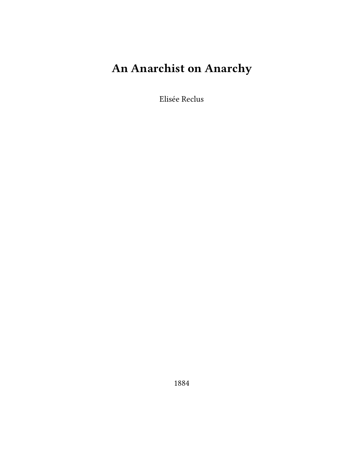## **An Anarchist on Anarchy**

Elisée Reclus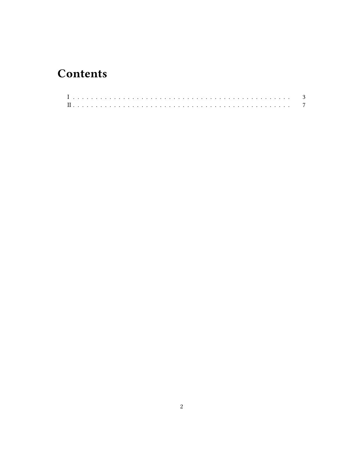## **Contents**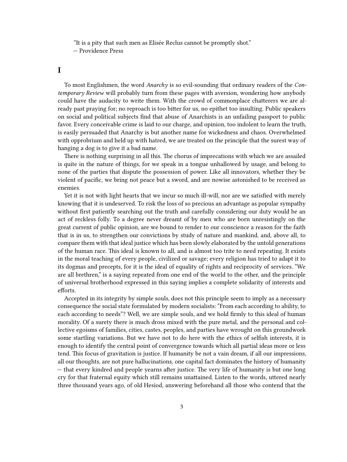"It is a pity that such men as Elisée Reclus cannot be promptly shot." — Providence Press

## <span id="page-2-0"></span>**I**

To most Englishmen, the word *Anarchy* is so evil-sounding that ordinary readers of the *Contemporary Review* will probably turn from these pages with aversion, wondering how anybody could have the audacity to write them. With the crowd of commonplace chatterers we are already past praying for; no reproach is too bitter for us, no epithet too insulting. Public speakers on social and political subjects find that abuse of Anarchists is an unfailing passport to public favor. Every conceivable crime is laid to our charge, and opinion, too indolent to learn the truth, is easily persuaded that Anarchy is but another name for wickedness and chaos. Overwhelmed with opprobrium and held up with hatred, we are treated on the principle that the surest way of hanging a dog is to give it a bad name.

There is nothing surprising in all this. The chorus of imprecations with which we are assailed is quite in the nature of things, for we speak in a tongue unhallowed by usage, and belong to none of the parties that dispute the possession of power. Like all innovators, whether they be violent of pacific, we bring not peace but a sword, and are nowise astonished to be received as enemies.

Yet it is not with light hearts that we incur so much ill-will, nor are we satisfied with merely knowing that it is undeserved. To risk the loss of so precious an advantage as popular sympathy without first patiently searching out the truth and carefully considering our duty would be an act of reckless folly. To a degree never dreamt of by men who are born unresistingly on the great current of public opinion, are we bound to render to our conscience a reason for the faith that is in us, to strengthen our convictions by study of nature and mankind, and, above all, to compare them with that ideal justice which has been slowly elaborated by the untold generations of the human race. This ideal is known to all, and is almost too trite to need repeating. It exists in the moral teaching of every people, civilized or savage; every religion has tried to adapt it to its dogmas and precepts, for it is the ideal of equality of rights and reciprocity of services. "We are all brethren," is a saying repeated from one end of the world to the other, and the principle of universal brotherhood expressed in this saying implies a complete solidarity of interests and efforts.

Accepted in its integrity by simple souls, does not this principle seem to imply as a necessary consequence the social state formulated by modern socialists: "From each according to ability, to each according to needs"? Well, we are simple souls, and we hold firmly to this ideal of human morality. Of a surety there is much dross mixed with the pure metal, and the personal and collective egoisms of families, cities, castes, peoples, and parties have wrought on this groundwork some startling variations. But we have not to do here with the ethics of selfish interests, it is enough to identify the central point of convergence towards which all partial ideas more or less tend. This focus of gravitation is justice. If humanity be not a vain dream, if all our impressions, all our thoughts, are not pure hallucinations, one capital fact dominates the history of humanity — that every kindred and people yearns after justice. The very life of humanity is but one long cry for that fraternal equity which still remains unattained. Listen to the words, uttered nearly three thousand years ago, of old Hesiod, answering beforehand all those who contend that the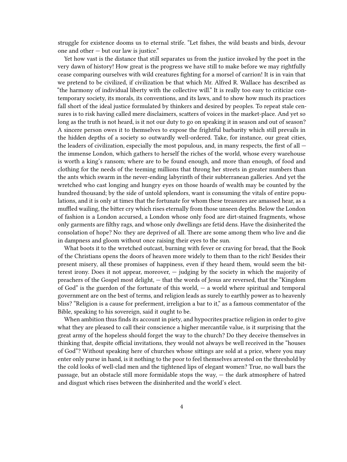struggle for existence dooms us to eternal strife. "Let fishes, the wild beasts and birds, devour one and other — but our law is justice."

Yet how vast is the distance that still separates us from the justice invoked by the poet in the very dawn of history! How great is the progress we have still to make before we may rightfully cease comparing ourselves with wild creatures fighting for a morsel of carrion! It is in vain that we pretend to be civilized, if civilization be that which Mr. Alfred R. Wallace has described as "the harmony of individual liberty with the collective will." It is really too easy to criticize contemporary society, its morals, its conventions, and its laws, and to show how much its practices fall short of the ideal justice formulated by thinkers and desired by peoples. To repeat stale censures is to risk having called mere disclaimers, scatters of voices in the market-place. And yet so long as the truth is not heard, is it not our duty to go on speaking it in season and out of season? A sincere person owes it to themselves to expose the frightful barbarity which still prevails in the hidden depths of a society so outwardly well-ordered. Take, for instance, our great cities, the leaders of civilization, especially the most populous, and, in many respects, the first of all  $$ the immense London, which gathers to herself the riches of the world, whose every warehouse is worth a king's ransom; where are to be found enough, and more than enough, of food and clothing for the needs of the teeming millions that throng her streets in greater numbers than the ants which swarm in the never-ending labyrinth of their subterranean galleries. And yet the wretched who cast longing and hungry eyes on those hoards of wealth may be counted by the hundred thousand; by the side of untold splendors, want is consuming the vitals of entire populations, and it is only at times that the fortunate for whom these treasures are amassed hear, as a muffled wailing, the bitter cry which rises eternally from those unseen depths. Below the London of fashion is a London accursed, a London whose only food are dirt-stained fragments, whose only garments are filthy rags, and whose only dwellings are fetid dens. Have the disinherited the consolation of hope? No: they are deprived of all. There are some among them who live and die in dampness and gloom without once raising their eyes to the sun.

What boots it to the wretched outcast, burning with fever or craving for bread, that the Book of the Christians opens the doors of heaven more widely to them than to the rich! Besides their present misery, all these promises of happiness, even if they heard them, would seem the bitterest irony. Does it not appear, moreover, — judging by the society in which the majority of preachers of the Gospel most delight, — that the words of Jesus are reversed, that the "Kingdom of God" is the guerdon of the fortunate of this world,  $-$  a world where spiritual and temporal government are on the best of terms, and religion leads as surely to earthly power as to heavenly bliss? "Religion is a cause for preferment, irreligion a bar to it," as a famous commentator of the Bible, speaking to his sovereign, said it ought to be.

When ambition thus finds its account in piety, and hypocrites practice religion in order to give what they are pleased to call their conscience a higher mercantile value, is it surprising that the great army of the hopeless should forget the way to the church? Do they deceive themselves in thinking that, despite official invitations, they would not always be well received in the "houses of God"? Without speaking here of churches whose sittings are sold at a price, where you may enter only purse in hand, is it nothing to the poor to feel themselves arrested on the threshold by the cold looks of well-clad men and the tightened lips of elegant women? True, no wall bars the passage, but an obstacle still more formidable stops the way, — the dark atmosphere of hatred and disgust which rises between the disinherited and the world's elect.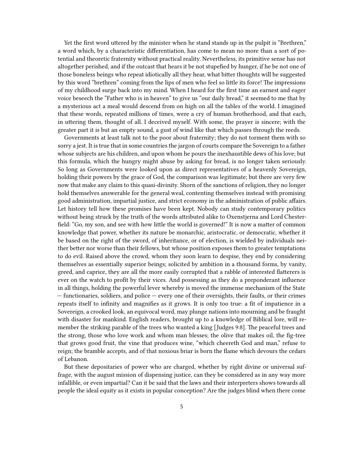Yet the first word uttered by the minister when he stand stands up in the pulpit is "Brethren," a word which, by a characteristic differentiation, has come to mean no more than a sort of potential and theoretic fraternity without practical reality. Nevertheless, its primitive sense has not altogether perished, and if the outcast that hears it be not stupefied by hunger, if he be not one of those boneless beings who repeat idiotically all they hear, what bitter thoughts will be suggested by this word "brethren" coming from the lips of men who feel so little its force! The impressions of my childhood surge back into my mind. When I heard for the first time an earnest and eager voice beseech the "Father who is in heaven" to give us "our daily bread," it seemed to me that by a mysterious act a meal would descend from on high on all the tables of the world. I imagined that these words, repeated millions of times, were a cry of human brotherhood, and that each, in uttering them, thought of all. I deceived myself. With some, the prayer is sincere; with the greater part it is but an empty sound, a gust of wind like that which passes through the reeds.

Governments at least talk not to the poor about fraternity; they do not torment them with so sorry a jest. It is true that in some countries the jargon of courts compare the Sovereign to a father whose subjects are his children, and upon whom he pours the inexhaustible dews of his love; but this formula, which the hungry might abuse by asking for bread, is no longer taken seriously. So long as Governments were looked upon as direct representatives of a heavenly Sovereign, holding their powers by the grace of God, the comparison was legitimate; but there are very few now that make any claim to this quasi-divinity. Shorn of the sanctions of religion, they no longer hold themselves answerable for the general weal, contenting themselves instead with promising good administration, impartial justice, and strict economy in the administration of public affairs. Let history tell how these promises have been kept. Nobody can study contemporary politics without being struck by the truth of the words attributed alike to Oxenstjerna and Lord Chesterfield: "Go, my son, and see with how little the world is governed!" It is now a matter of common knowledge that power, whether its nature be monarchic, aristocratic, or democratic, whether it be based on the right of the sword, of inheritance, or of election, is wielded by individuals neither better nor worse than their fellows, but whose position exposes them to greater temptations to do evil. Raised above the crowd, whom they soon learn to despise, they end by considering themselves as essentially superior beings; solicited by ambition in a thousand forms, by vanity, greed, and caprice, they are all the more easily corrupted that a rabble of interested flatterers is ever on the watch to profit by their vices. And possessing as they do a preponderant influence in all things, holding the powerful lever whereby is moved the immense mechanism of the State — functionaries, soldiers, and police — every one of their oversights, their faults, or their crimes repeats itself to infinity and magnifies as it grows. It is only too true: a fit of impatience in a Sovereign, a crooked look, an equivocal word, may plunge nations into mourning and be fraught with disaster for mankind. English readers, brought up to a knowledge of Biblical lore, will remember the striking parable of the trees who wanted a king [Judges 9:8]. The peaceful trees and the strong, those who love work and whom man blesses; the olive that makes oil, the fig-tree that grows good fruit, the vine that produces wine, "which cheereth God and man," refuse to reign; the bramble accepts, and of that noxious briar is born the flame which devours the cedars of Lebanon.

But these depositaries of power who are charged, whether by right divine or universal suffrage, with the august mission of dispensing justice, can they be considered as in any way more infallible, or even impartial? Can it be said that the laws and their interpreters shows towards all people the ideal equity as it exists in popular conception? Are the judges blind when there come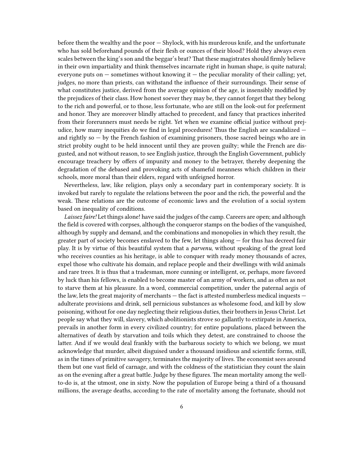before them the wealthy and the poor — Shylock, with his murderous knife, and the unfortunate who has sold beforehand pounds of their flesh or ounces of their blood? Hold they always even scales between the king's son and the beggar's brat? That these magistrates should firmly believe in their own impartiality and think themselves incarnate right in human shape, is quite natural; everyone puts on  $-$  sometimes without knowing it  $-$  the peculiar morality of their calling; yet, judges, no more than priests, can withstand the influence of their surroundings. Their sense of what constitutes justice, derived from the average opinion of the age, is insensibly modified by the prejudices of their class. How honest soever they may be, they cannot forget that they belong to the rich and powerful, or to those, less fortunate, who are still on the look-out for preferment and honor. They are moreover blindly attached to precedent, and fancy that practices inherited from their forerunners must needs be right. Yet when we examine official justice without prejudice, how many inequities do we find in legal procedures! Thus the English are scandalized  $$ and rightly so — by the French fashion of examining prisoners, those sacred beings who are in strict probity ought to be held innocent until they are proven guilty; while the French are disgusted, and not without reason, to see English justice, through the English Government, publicly encourage treachery by offers of impunity and money to the betrayer, thereby deepening the degradation of the debased and provoking acts of shameful meanness which children in their schools, more moral than their elders, regard with unfeigned horror.

Nevertheless, law, like religion, plays only a secondary part in contemporary society. It is invoked but rarely to regulate the relations between the poor and the rich, the powerful and the weak. These relations are the outcome of economic laws and the evolution of a social system based on inequality of conditions.

*Laissez faire!* Let things alone! have said the judges of the camp. Careers are open; and although the field is covered with corpses, although the conqueror stamps on the bodies of the vanquished, although by supply and demand, and the combinations and monopolies in which they result, the greater part of society becomes enslaved to the few, let things along — for thus has decreed fair play. It is by virtue of this beautiful system that a *parvenu*, without speaking of the great lord who receives counties as his heritage, is able to conquer with ready money thousands of acres, expel those who cultivate his domain, and replace people and their dwellings with wild animals and rare trees. It is thus that a tradesman, more cunning or intelligent, or, perhaps, more favored by luck than his fellows, is enabled to become master of an army of workers, and as often as not to starve them at his pleasure. In a word, commercial competition, under the paternal aegis of the law, lets the great majority of merchants — the fact is attested numberless medical inquests adulterate provisions and drink, sell pernicious substances as wholesome food, and kill by slow poisoning, without for one day neglecting their religious duties, their brothers in Jesus Christ. Let people say what they will, slavery, which abolitionists strove so gallantly to extirpate in America, prevails in another form in every civilized country; for entire populations, placed between the alternatives of death by starvation and toils which they detest, are constrained to choose the latter. And if we would deal frankly with the barbarous society to which we belong, we must acknowledge that murder, albeit disguised under a thousand insidious and scientific forms, still, as in the times of primitive savagery, terminates the majority of lives. The economist sees around them but one vast field of carnage, and with the coldness of the statistician they count the slain as on the evening after a great battle. Judge by these figures. The mean mortality among the wellto-do is, at the utmost, one in sixty. Now the population of Europe being a third of a thousand millions, the average deaths, according to the rate of mortality among the fortunate, should not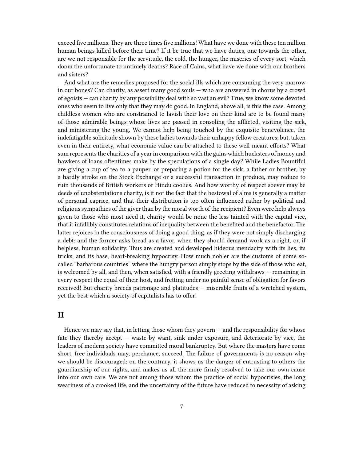exceed five millions. They are three times five millions! What have we done with these ten million human beings killed before their time? If it be true that we have duties, one towards the other, are we not responsible for the servitude, the cold, the hunger, the miseries of every sort, which doom the unfortunate to untimely deaths? Race of Cains, what have we done with our brothers and sisters?

And what are the remedies proposed for the social ills which are consuming the very marrow in our bones? Can charity, as assert many good souls — who are answered in chorus by a crowd of egoists — can charity by any possibility deal with so vast an evil? True, we know some devoted ones who seem to live only that they may do good. In England, above all, is this the case. Among childless women who are constrained to lavish their love on their kind are to be found many of those admirable beings whose lives are passed in consoling the afflicted, visiting the sick, and ministering the young. We cannot help being touched by the exquisite benevolence, the indefatigable solicitude shown by these ladies towards their unhappy fellow creatures; but, taken even in their entirety, what economic value can be attached to these well-meant efforts? What sum represents the charities of a year in comparison with the gains which hucksters of money and hawkers of loans oftentimes make by the speculations of a single day? While Ladies Bountiful are giving a cup of tea to a pauper, or preparing a potion for the sick, a father or brother, by a hardly stroke on the Stock Exchange or a successful transaction in produce, may reduce to ruin thousands of British workers or Hindu coolies. And how worthy of respect soever may be deeds of unobstentations charity, is it not the fact that the bestowal of alms is generally a matter of personal caprice, and that their distribution is too often influenced rather by political and religious sympathies of the giver than by the moral worth of the recipient? Even were help always given to those who most need it, charity would be none the less tainted with the capital vice, that it infallibly constitutes relations of inequality between the benefited and the benefactor. The latter rejoices in the consciousness of doing a good thing, as if they were not simply discharging a debt; and the former asks bread as a favor, when they should demand work as a right, or, if helpless, human solidarity. Thus are created and developed hideous mendacity with its lies, its tricks, and its base, heart-breaking hypocrisy. How much nobler are the customs of some socalled "barbarous countries" where the hungry person simply stops by the side of those who eat, is welcomed by all, and then, when satisfied, with a friendly greeting withdraws — remaining in every respect the equal of their host, and fretting under no painful sense of obligation for favors received! But charity breeds patronage and platitudes — miserable fruits of a wretched system, yet the best which a society of capitalists has to offer!

## <span id="page-6-0"></span>**II**

Hence we may say that, in letting those whom they govern — and the responsibility for whose fate they thereby accept — waste by want, sink under exposure, and deteriorate by vice, the leaders of modern society have committed moral bankruptcy. But where the masters have come short, free individuals may, perchance, succeed. The failure of governments is no reason why we should be discouraged; on the contrary, it shows us the danger of entrusting to others the guardianship of our rights, and makes us all the more firmly resolved to take our own cause into our own care. We are not among those whom the practice of social hypocrisies, the long weariness of a crooked life, and the uncertainty of the future have reduced to necessity of asking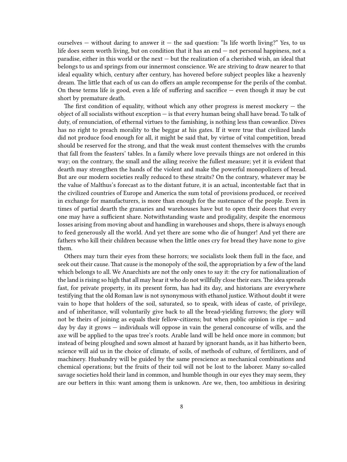ourselves — without daring to answer it — the sad question: "Is life worth living?" Yes, to us life does seem worth living, but on condition that it has an end — not personal happiness, not a paradise, either in this world or the next — but the realization of a cherished wish, an ideal that belongs to us and springs from our innermost conscience. We are striving to draw nearer to that ideal equality which, century after century, has hovered before subject peoples like a heavenly dream. The little that each of us can do offers an ample recompense for the perils of the combat. On these terms life is good, even a life of suffering and sacrifice — even though it may be cut short by premature death.

The first condition of equality, without which any other progress is merest mockery  $-$  the object of all socialists without exception  $-$  is that every human being shall have bread. To talk of duty, of renunciation, of ethernal virtues to the famishing, is nothing less than cowardice. Dives has no right to preach morality to the beggar at his gates. If it were true that civilized lands did not produce food enough for all, it might be said that, by virtue of vital competition, bread should be reserved for the strong, and that the weak must content themselves with the crumbs that fall from the feasters' tables. In a family where love prevails things are not ordered in this way; on the contrary, the small and the ailing receive the fullest measure; yet it is evident that dearth may strengthen the hands of the violent and make the powerful monopolizers of bread. But are our modern societies really reduced to these straits? On the contrary, whatever may be the value of Malthus's forecast as to the distant future, it is an actual, incontestable fact that in the civilized countries of Europe and America the sum total of provisions produced, or received in exchange for manufacturers, is more than enough for the sustenance of the people. Even in times of partial dearth the granaries and warehouses have but to open their doors that every one may have a sufficient share. Notwithstanding waste and prodigality, despite the enormous losses arising from moving about and handling in warehouses and shops, there is always enough to feed generously all the world. And yet there are some who die of hunger! And yet there are fathers who kill their children because when the little ones cry for bread they have none to give them.

Others may turn their eyes from these horrors; we socialists look them full in the face, and seek out their cause. That cause is the monopoly of the soil, the appropriation by a few of the land which belongs to all. We Anarchists are not the only ones to say it: the cry for nationalization of the land is rising so high that all may hear it who do not willfully close their ears. The idea spreads fast, for private property, in its present form, has had its day, and historians are everywhere testifying that the old Roman law is not synonymous with ethanol justice. Without doubt it were vain to hope that holders of the soil, saturated, so to speak, with ideas of caste, of privilege, and of inheritance, will voluntarily give back to all the bread-yielding furrows; the glory will not be theirs of joining as equals their fellow-citizens; but when public opinion is ripe  $-$  and day by day it grows — individuals will oppose in vain the general concourse of wills, and the axe will be applied to the upas tree's roots. Arable land will be held once more in common; but instead of being ploughed and sown almost at hazard by ignorant hands, as it has hitherto been, science will aid us in the choice of climate, of soils, of methods of culture, of fertilizers, and of machinery. Husbandry will be guided by the same prescience as mechanical combinations and chemical operations; but the fruits of their toil will not be lost to the laborer. Many so-called savage societies hold their land in common, and humble though in our eyes they may seem, they are our betters in this: want among them is unknown. Are we, then, too ambitious in desiring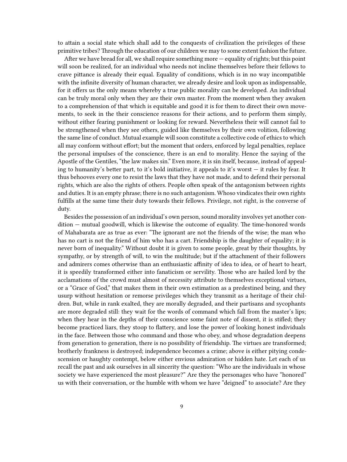to attain a social state which shall add to the conquests of civilization the privileges of these primitive tribes? Through the education of our children we may to some extent fashion the future.

After we have bread for all, we shall require something more — equality of rights; but this point will soon be realized, for an individual who needs not incline themselves before their fellows to crave pittance is already their equal. Equality of conditions, which is in no way incompatible with the infinite diversity of human character, we already desire and look upon as indispensable, for it offers us the only means whereby a true public morality can be developed. An individual can be truly moral only when they are their own master. From the moment when they awaken to a comprehension of that which is equitable and good it is for them to direct their own movements, to seek in the their conscience reasons for their actions, and to perform them simply, without either fearing punishment or looking for reward. Nevertheless their will cannot fail to be strengthened when they see others, guided like themselves by their own volition, following the same line of conduct. Mutual example will soon constitute a collective code of ethics to which all may conform without effort; but the moment that orders, enforced by legal penalties, replace the personal impulses of the conscience, there is an end to morality. Hence the saying of the Apostle of the Gentiles, "the law makes sin." Even more, it is sin itself, because, instead of appealing to humanity's better part, to it's bold initiative, it appeals to it's worst — it rules by fear. It thus behooves every one to resist the laws that they have not made, and to defend their personal rights, which are also the rights of others. People often speak of the antagonism between rights and duties. It is an empty phrase; there is no such antagonism. Whoso vindicates their own rights fulfills at the same time their duty towards their fellows. Privilege, not right, is the converse of duty.

Besides the possession of an individual's own person, sound morality involves yet another condition — mutual goodwill, which is likewise the outcome of equality. The time-honored words of Mahabarata are as true as ever: "The ignorant are not the friends of the wise; the man who has no cart is not the friend of him who has a cart. Friendship is the daughter of equality; it is never born of inequality." Without doubt it is given to some people, great by their thoughts, by sympathy, or by strength of will, to win the multitude; but if the attachment of their followers and admirers comes otherwise than an enthusiastic affinity of idea to idea, or of heart to heart, it is speedily transformed either into fanaticism or servility. Those who are hailed lord by the acclamations of the crowd must almost of necessity attribute to themselves exceptional virtues, or a "Grace of God," that makes them in their own estimation as a predestined being, and they usurp without hesitation or remorse privileges which they transmit as a heritage of their children. But, while in rank exalted, they are morally degraded, and their partisans and sycophants are more degraded still: they wait for the words of command which fall from the master's lips; when they hear in the depths of their conscience some faint note of dissent, it is stifled; they become practiced liars, they stoop to flattery, and lose the power of looking honest individuals in the face. Between those who command and those who obey, and whose degradation deepens from generation to generation, there is no possibility of friendship. The virtues are transformed; brotherly frankness is destroyed; independence becomes a crime; above is either pitying condescension or haughty contempt, below either envious admiration or hidden hate. Let each of us recall the past and ask ourselves in all sincerity the question: "Who are the individuals in whose society we have experienced the most pleasure?" Are they the personages who have "honored" us with their conversation, or the humble with whom we have "deigned" to associate? Are they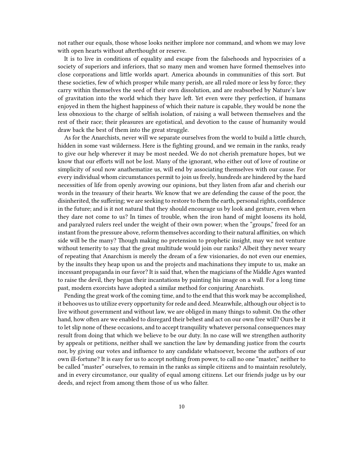not rather our equals, those whose looks neither implore nor command, and whom we may love with open hearts without afterthought or reserve.

It is to live in conditions of equality and escape from the falsehoods and hypocrisies of a society of superiors and inferiors, that so many men and women have formed themselves into close corporations and little worlds apart. America abounds in communities of this sort. But these societies, few of which prosper while many perish, are all ruled more or less by force; they carry within themselves the seed of their own dissolution, and are reabsorbed by Nature's law of gravitation into the world which they have left. Yet even were they perfection, if humans enjoyed in them the highest happiness of which their nature is capable, they would be none the less obnoxious to the charge of selfish isolation, of raising a wall between themselves and the rest of their race; their pleasures are egotistical, and devotion to the cause of humanity would draw back the best of them into the great struggle.

As for the Anarchists, never will we separate ourselves from the world to build a little church, hidden in some vast wilderness. Here is the fighting ground, and we remain in the ranks, ready to give our help wherever it may be most needed. We do not cherish premature hopes, but we know that our efforts will not be lost. Many of the ignorant, who either out of love of routine or simplicity of soul now anathematize us, will end by associating themselves with our cause. For every individual whom circumstances permit to join us freely, hundreds are hindered by the hard necessities of life from openly avowing our opinions, but they listen from afar and cherish our words in the treasury of their hearts. We know that we are defending the cause of the poor, the disinherited, the suffering; we are seeking to restore to them the earth, personal rights, confidence in the future; and is it not natural that they should encourage us by look and gesture, even when they dare not come to us? In times of trouble, when the iron hand of might loosens its hold, and paralyzed rulers reel under the weight of their own power; when the "groups," freed for an instant from the pressure above, reform themselves according to their natural affinities, on which side will be the many? Though making no pretension to prophetic insight, may we not venture without temerity to say that the great multitude would join our ranks? Albeit they never weary of repeating that Anarchism is merely the dream of a few visionaries, do not even our enemies, by the insults they heap upon us and the projects and machinations they impute to us, make an incessant propaganda in our favor? It is said that, when the magicians of the Middle Ages wanted to raise the devil, they began their incantations by painting his image on a wall. For a long time past, modern exorcists have adopted a similar method for conjuring Anarchists.

Pending the great work of the coming time, and to the end that this work may be accomplished, it behooves us to utilize every opportunity for rede and deed. Meanwhile, although our object is to live without government and without law, we are obliged in many things to submit. On the other hand, how often are we enabled to disregard their behest and act on our own free will? Ours be it to let slip none of these occasions, and to accept tranquility whatever personal consequences may result from doing that which we believe to be our duty. In no case will we strengthen authority by appeals or petitions, neither shall we sanction the law by demanding justice from the courts nor, by giving our votes and influence to any candidate whatsoever, become the authors of our own ill-fortune? It is easy for us to accept nothing from power, to call no one "master," neither to be called "master" ourselves, to remain in the ranks as simple citizens and to maintain resolutely, and in every circumstance, our quality of equal among citizens. Let our friends judge us by our deeds, and reject from among them those of us who falter.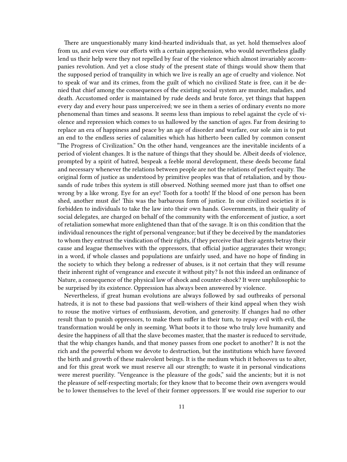There are unquestionably many kind-hearted individuals that, as yet. hold themselves aloof from us, and even view our efforts with a certain apprehension, who would nevertheless gladly lend us their help were they not repelled by fear of the violence which almost invariably accompanies revolution. And yet a close study of the present state of things would show them that the supposed period of tranquility in which we live is really an age of cruelty and violence. Not to speak of war and its crimes, from the guilt of which no civilized State is free, can it be denied that chief among the consequences of the existing social system are murder, maladies, and death. Accustomed order is maintained by rude deeds and brute force, yet things that happen every day and every hour pass unperceived; we see in them a series of ordinary events no more phenomenal than times and seasons. It seems less than impious to rebel against the cycle of violence and repression which comes to us hallowed by the sanction of ages. Far from desiring to replace an era of happiness and peace by an age of disorder and warfare, our sole aim is to put an end to the endless series of calamities which has hitherto been called by common consent "The Progress of Civilization." On the other hand, vengeances are the inevitable incidents of a period of violent changes. It is the nature of things that they should be. Albeit deeds of violence, prompted by a spirit of hatred, bespeak a feeble moral development, these deeds become fatal and necessary whenever the relations between people are not the relations of perfect equity. The original form of justice as understood by primitive peoples was that of retaliation, and by thousands of rude tribes this system is still observed. Nothing seemed more just than to offset one wrong by a like wrong. Eye for an eye! Tooth for a tooth! If the blood of one person has been shed, another must die! This was the barbarous form of justice. In our civilized societies it is forbidden to individuals to take the law into their own hands. Governments, in their quality of social delegates, are charged on behalf of the community with the enforcement of justice, a sort of retaliation somewhat more enlightened than that of the savage. It is on this condition that the individual renounces the right of personal vengeance; but if they be deceived by the mandatories to whom they entrust the vindication of their rights, if they perceive that their agents betray their cause and league themselves with the oppressors, that official justice aggravates their wrongs; in a word, if whole classes and populations are unfairly used, and have no hope of finding in the society to which they belong a redresser of abuses, is it not certain that they will resume their inherent right of vengeance and execute it without pity? Is not this indeed an ordinance of Nature, a consequence of the physical law of shock and counter-shock? It were unphilosophic to be surprised by its existence. Oppression has always been answered by violence.

Nevertheless, if great human evolutions are always followed by sad outbreaks of personal hatreds, it is not to these bad passions that well-wishers of their kind appeal when they wish to rouse the motive virtues of enthusiasm, devotion, and generosity. If changes had no other result than to punish oppressors, to make them suffer in their turn, to repay evil with evil, the transformation would be only in seeming. What boots it to those who truly love humanity and desire the happiness of all that the slave becomes master, that the master is reduced to servitude, that the whip changes hands, and that money passes from one pocket to another? It is not the rich and the powerful whom we devote to destruction, but the institutions which have favored the birth and growth of these malevolent beings. It is the medium which it behooves us to alter, and for this great work we must reserve all our strength; to waste it in personal vindications were merest puerility. "Vengeance is the pleasure of the gods," said the ancients; but it is not the pleasure of self-respecting mortals; for they know that to become their own avengers would be to lower themselves to the level of their former oppressors. If we would rise superior to our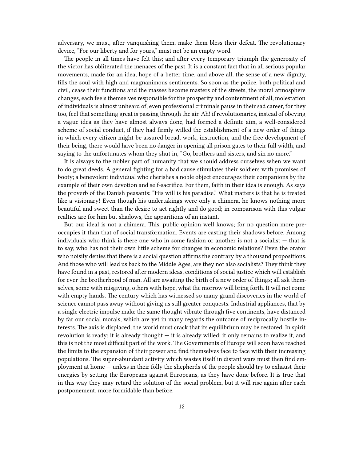adversary, we must, after vanquishing them, make them bless their defeat. The revolutionary device, "For our liberty and for yours," must not be an empty word.

The people in all times have felt this; and after every temporary triumph the generosity of the victor has obliterated the menaces of the past. It is a constant fact that in all serious popular movements, made for an idea, hope of a better time, and above all, the sense of a new dignity, fills the soul with high and magnanimous sentiments. So soon as the police, both political and civil, cease their functions and the masses become masters of the streets, the moral atmosphere changes, each feels themselves responsible for the prosperity and contentment of all; molestation of individuals is almost unheard of; even professional criminals pause in their sad career, for they too, feel that something great is passing through the air. Ah! if revolutionaries, instead of obeying a vague idea as they have almost always done, had formed a definite aim, a well-considered scheme of social conduct, if they had firmly willed the establishment of a new order of things in which every citizen might be assured bread, work, instruction, and the free development of their being, there would have been no danger in opening all prison gates to their full width, and saying to the unfortunates whom they shut in, "Go, brothers and sisters, and sin no more."

It is always to the nobler part of humanity that we should address ourselves when we want to do great deeds. A general fighting for a bad cause stimulates their soldiers with promises of booty; a benevolent individual who cherishes a noble object encourages their companions by the example of their own devotion and self-sacrifice. For them, faith in their idea is enough. As says the proverb of the Danish peasants: "His will is his paradise." What matters is that he is treated like a visionary! Even though his undertakings were only a chimera, he knows nothing more beautiful and sweet than the desire to act rightly and do good; in comparison with this vulgar realties are for him but shadows, the apparitions of an instant.

But our ideal is not a chimera. This, public opinion well knows; for no question more preoccupies it than that of social transformation. Events are casting their shadows before. Among individuals who think is there one who in some fashion or another is not a socialist — that is to say, who has not their own little scheme for changes in economic relations? Even the orator who noisily denies that there is a social question affirms the contrary by a thousand propositions. And those who will lead us back to the Middle Ages, are they not also socialists? They think they have found in a past, restored after modern ideas, conditions of social justice which will establish for ever the brotherhood of man. All are awaiting the birth of a new order of things; all ask themselves, some with misgiving, others with hope, what the morrow will bring forth. It will not come with empty hands. The century which has witnessed so many grand discoveries in the world of science cannot pass away without giving us still greater conquests. Industrial appliances, that by a single electric impulse make the same thought vibrate through five continents, have distanced by far our social morals, which are yet in many regards the outcome of reciprocally hostile interests. The axis is displaced; the world must crack that its equilibrium may be restored. In spirit revolution is ready; it is already thought — it is already willed; it only remains to realize it, and this is not the most difficult part of the work. The Governments of Europe will soon have reached the limits to the expansion of their power and find themselves face to face with their increasing populations. The super-abundant activity which wastes itself in distant wars must then find employment at home — unless in their folly the shepherds of the people should try to exhaust their energies by setting the Europeans against Europeans, as they have done before. It is true that in this way they may retard the solution of the social problem, but it will rise again after each postponement, more formidable than before.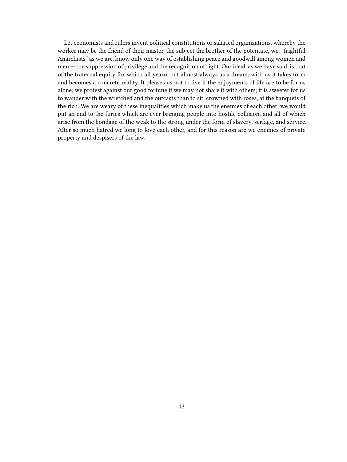Let economists and rulers invent political constitutions or salaried organizations, whereby the worker may be the friend of their master, the subject the brother of the potentate, we, "frightful Anarchists" as we are, know only one way of establishing peace and goodwill among women and men — the suppression of privilege and the recognition of right. Our ideal, as we have said, is that of the fraternal equity for which all yearn, but almost always as a dream; with us it takes form and becomes a concrete reality. It pleases us not to live if the enjoyments of life are to be for us alone; we protest against our good fortune if we may not share it with others; it is sweeter for us to wander with the wretched and the outcasts than to sit, crowned with roses, at the banquets of the rich. We are weary of these inequalities which make us the enemies of each other; we would put an end to the furies which are ever bringing people into hostile collision, and all of which arise from the bondage of the weak to the strong under the form of slavery, serfage, and service. After so much hatred we long to love each other, and for this reason are we enemies of private property and despisers of the law.